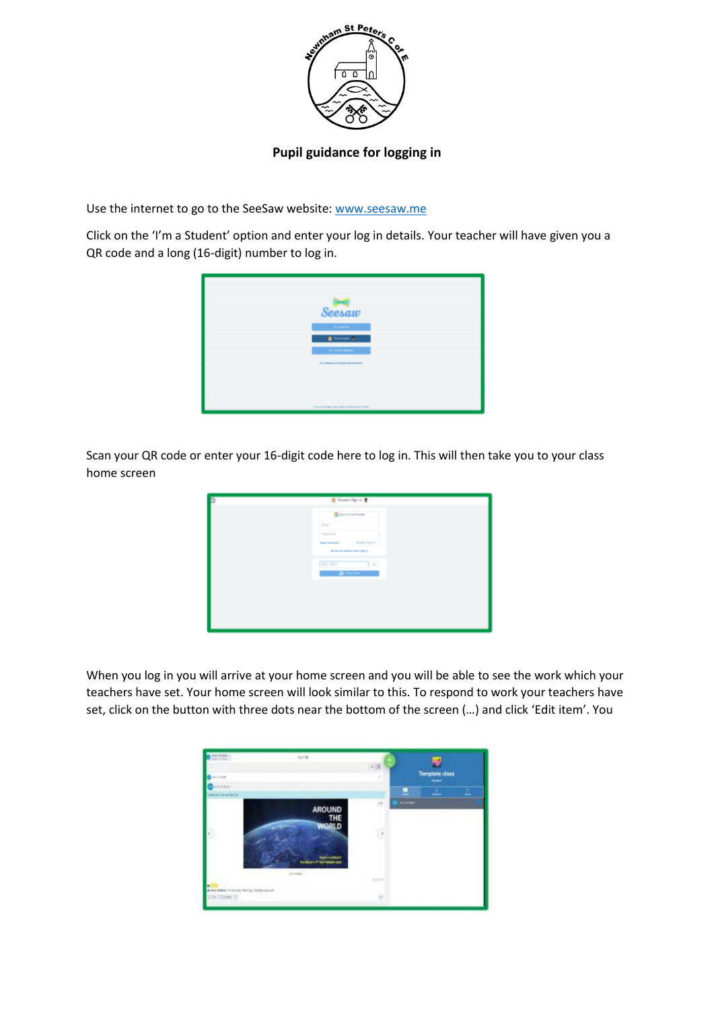

## **Pupil guidance for logging in**

Use the internet to go to the SeeSaw website[: www.seesaw.me](http://www.seesaw.me/)

Click on the 'I'm a Student' option and enter your log in details. Your teacher will have given you a QR code and a long (16-digit) number to log in.



Scan your QR code or enter your 16-digit code here to log in. This will then take you to your class home screen

| <b>B</b> Floton Sprin @                           |
|---------------------------------------------------|
| <b>G</b> elpricant Graph                          |
| Down.                                             |
| Person                                            |
| Duden Sprin<br><b><i>Surgest Presentation</i></b> |
| Northe TV School East Nat-F.                      |
| $\overline{16}$<br><b>Territoria</b><br>ı         |
| <b>IN</b> Start Com                               |
|                                                   |
|                                                   |
|                                                   |
|                                                   |
|                                                   |

When you log in you will arrive at your home screen and you will be able to see the work which your teachers have set. Your home screen will look similar to this. To respond to work your teachers have set, click on the button with three dots near the bottom of the screen (…) and click 'Edit item'. You